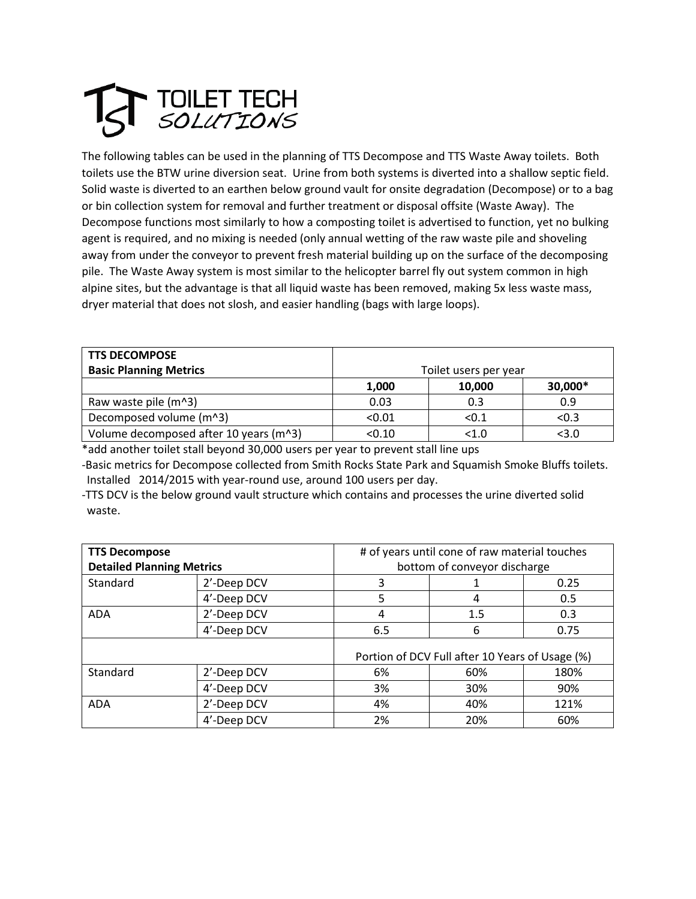## **TOILET TECH<br>SOLUTIONS**

The following tables can be used in the planning of TTS Decompose and TTS Waste Away toilets. Both toilets use the BTW urine diversion seat. Urine from both systems is diverted into a shallow septic field. Solid waste is diverted to an earthen below ground vault for onsite degradation (Decompose) or to a bag or bin collection system for removal and further treatment or disposal offsite (Waste Away). The Decompose functions most similarly to how a composting toilet is advertised to function, yet no bulking agent is required, and no mixing is needed (only annual wetting of the raw waste pile and shoveling away from under the conveyor to prevent fresh material building up on the surface of the decomposing pile. The Waste Away system is most similar to the helicopter barrel fly out system common in high alpine sites, but the advantage is that all liquid waste has been removed, making 5x less waste mass, dryer material that does not slosh, and easier handling (bags with large loops).

| <b>TTS DECOMPOSE</b>                   |                       |         |         |  |
|----------------------------------------|-----------------------|---------|---------|--|
| <b>Basic Planning Metrics</b>          | Toilet users per year |         |         |  |
|                                        | 1,000                 | 10.000  | 30,000* |  |
| Raw waste pile (m^3)                   | 0.03                  | 0.3     | 0.9     |  |
| Decomposed volume (m^3)                | < 0.01                | < 0.1   | < 0.3   |  |
| Volume decomposed after 10 years (m^3) | < 0.10                | $<$ 1.0 | $3.0$   |  |

\*add another toilet stall beyond 30,000 users per year to prevent stall line ups

-Basic metrics for Decompose collected from Smith Rocks State Park and Squamish Smoke Bluffs toilets. Installed 2014/2015 with year-round use, around 100 users per day.

-TTS DCV is the below ground vault structure which contains and processes the urine diverted solid waste.

| <b>TTS Decompose</b>             |             | # of years until cone of raw material touches   |     |      |
|----------------------------------|-------------|-------------------------------------------------|-----|------|
| <b>Detailed Planning Metrics</b> |             | bottom of conveyor discharge                    |     |      |
| Standard                         | 2'-Deep DCV | 3                                               |     | 0.25 |
|                                  | 4'-Deep DCV | 5                                               | 4   | 0.5  |
| <b>ADA</b>                       | 2'-Deep DCV | 4                                               | 1.5 | 0.3  |
|                                  | 4'-Deep DCV | 6.5                                             | 6   | 0.75 |
|                                  |             | Portion of DCV Full after 10 Years of Usage (%) |     |      |
| Standard                         | 2'-Deep DCV | 6%                                              | 60% | 180% |
|                                  | 4'-Deep DCV | 3%                                              | 30% | 90%  |
| <b>ADA</b>                       | 2'-Deep DCV | 4%                                              | 40% | 121% |
|                                  | 4'-Deep DCV | 2%                                              | 20% | 60%  |